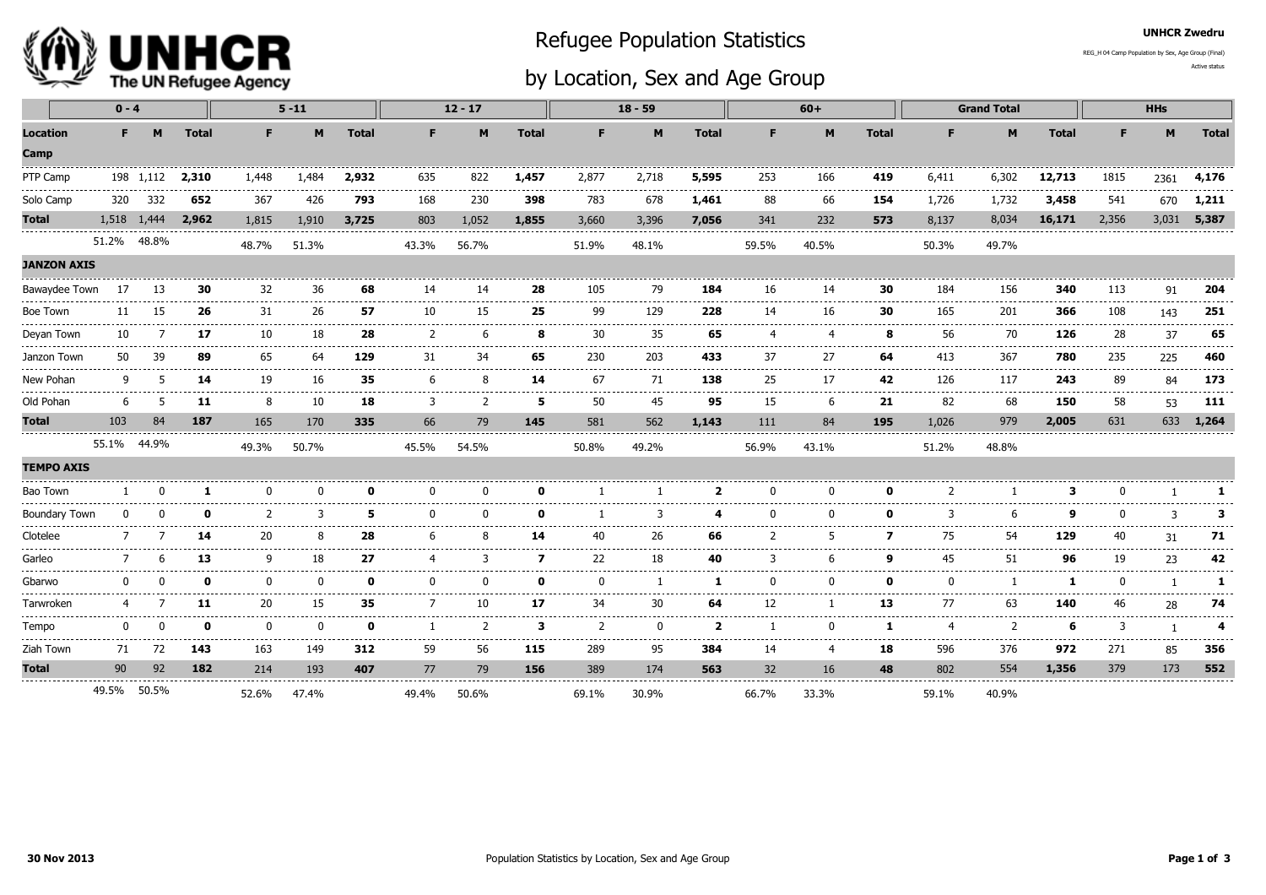

## Refugee Population Statistics

## by Location, Sex and Age Group

UNHCR Zwedru

Active statusREG\_H 04 Camp Population by Sex, Age Group (Final)

|                                          | $0 - 4$     |             |               |                  | $5 - 11$ |              | $12 - 17$   |               |              | $18 - 59$                |             |                                    |                 | $60+$                           |              | <b>Grand Total</b>          |                    |                 | <b>HHs</b>                             |                                       |                       |
|------------------------------------------|-------------|-------------|---------------|------------------|----------|--------------|-------------|---------------|--------------|--------------------------|-------------|------------------------------------|-----------------|---------------------------------|--------------|-----------------------------|--------------------|-----------------|----------------------------------------|---------------------------------------|-----------------------|
| <b>Location</b><br>Camp                  | F.          | M           | <b>Total</b>  | F.               | M        | <b>Total</b> | F           | M             | <b>Total</b> | F.                       | M           | <b>Total</b>                       | F.              | M                               | <b>Total</b> | F.                          | M                  | <b>Total</b>    | F.                                     | M                                     | <b>Total</b>          |
| PTP Camp                                 |             | 198 1,112   | 2,310         | 1,448            | 1,484    | 2,932        | 635         | 822           | 1,457        | 2,877                    | 2,718       | 5,595                              | 253             | 166                             | 419          | 6,411                       | 6,302              | 12,713          | 1815                                   | 2361                                  | 4,176                 |
| Solo Camp                                | 320         | 332         | 652           | 367              | 426      | 793          | 168         | 230           | 398          | 783                      | 678         | 1,461                              | 88              | 66                              | 154          | 1,726                       | 1,732              | 3,458           | 541                                    | 670                                   | 1,211                 |
| Total                                    |             | 1,518 1,444 | 2,962         | 1,815            | 1,910    | 3,725        | 803         | 1,052         | 1,855        | 3,660                    | 3,396       | 7,056                              | 341             | 232                             | 573          | 8,137                       | 8,034              | 16,171          | 2,356                                  | 3,031                                 | 5,387                 |
|                                          | 51.2% 48.8% |             |               | 48.7%            | 51.3%    |              | 43.3%       | 56.7%         |              | 51.9%                    | 48.1%       |                                    | 59.5%           | 40.5%                           |              | 50.3%                       | 49.7%              |                 |                                        |                                       |                       |
| <b>JANZON AXIS</b>                       |             |             |               |                  |          |              |             |               |              |                          |             |                                    |                 |                                 |              |                             |                    |                 |                                        |                                       |                       |
| Bawaydee Town                            | 17          | 13          | 30            | 32               | 36       | 68           | 14          | 14            | 28           | 105                      | 79          | 184                                | 16              | 14                              | 30           | 184                         | 156                | 340             | 113                                    | 91                                    | 204                   |
| Boe Town                                 | 11          | 15          | 26            | ----------<br>31 | 26       | 57           | 10          | 15            | 25           | 99                       | 129         | .<br>228                           | 14              | -------------------------<br>16 | 30           | 165                         | 201                | --------<br>366 | 108                                    | ------------------------------<br>143 | 251                   |
| Deyan Town                               | 10          |             | 17            | -----<br>10      | 18       | 28           |             |               | 8            | 30                       | <br>35      | 65                                 |                 | $\boldsymbol{4}$                | 8            | 56                          | .<br>70            | -----<br>126    | 28                                     | 37                                    | وعاماتها ماليات<br>65 |
| Janzon Town                              | 50          | ЗĠ          | 89            | 65               | 64       | 129          | 31          | 34            | 65           | 230                      | 203         | 433                                | 37              | 27                              | 64           | 413                         | 367                | 780             | 235                                    | 225                                   | 460                   |
| New Pohan                                | q           | 5           | 14            | -----<br>19      | 16       | 35           | 6           |               | 14           | 67                       | -----<br>71 | 138                                | 25              | 17                              | 42           | 126                         | 117                | 243             | 89                                     | 84                                    | 173                   |
| Old Pohan                                | 6           |             | 11            | 8                | 10       | 18           | 3           | $\mathcal{P}$ | 5            | 50                       | 45          | 95                                 | 15              | 6                               | 21           | 82                          | 68                 | 150             | 58                                     | 53                                    | .<br>111              |
| <b>Total</b>                             | 103         | 84          | 187           | 165              | 170      | 335          | 66          | 79            | 145          | 581                      | 562         | 1,143                              | 111             | 84                              | 195          | 1,026                       | 979                | 2,005           | 631                                    | 633                                   | 1,264                 |
|                                          | 55.1% 44.9% |             |               | 49.3%            | 50.7%    |              | 45.5%       | 54.5%         |              | 50.8%                    | 49.2%       |                                    | 56.9%           | 43.1%                           |              | 51.2%                       | 48.8%              |                 |                                        |                                       |                       |
| <b>TEMPO AXIS</b>                        |             |             |               |                  |          |              |             |               |              |                          |             |                                    |                 |                                 |              |                             |                    |                 |                                        |                                       |                       |
| Bao Town                                 |             |             |               |                  |          |              |             |               |              |                          |             | ,                                  |                 |                                 |              |                             |                    |                 |                                        |                                       |                       |
| <b>Boundary Town</b>                     |             |             |               |                  |          |              |             |               |              |                          |             |                                    |                 |                                 | n            |                             |                    |                 |                                        |                                       | з                     |
| Clotelee                                 |             |             | 14            | 20               |          | 28           |             |               | 14           | 40                       | 26          | 66                                 |                 |                                 | 7            | 75                          | 54                 | 129             | 40                                     | 31                                    | 71                    |
| Garleo                                   |             |             | 13            | q                | 18       | 27           |             |               | 7            | 22                       | 18          | 40                                 |                 |                                 | o            | 45                          | 51                 | 96              | 19                                     | 23                                    | 42                    |
| Gbarwo                                   |             |             |               | $\Omega$         | n        |              |             |               | ŋ            |                          |             | -1                                 | n               |                                 | - 0          | ŋ                           |                    |                 |                                        |                                       | 1                     |
| Tarwroken                                | 4           |             | 11            | ------<br>20     | 15       | 35           |             | 10            | 17           | 34                       | 30          | 64                                 | 12              |                                 | 13           | 77                          | -----<br>63        | 140             | 46                                     | 28                                    | 74                    |
| -------------------------------<br>Tempo | n           |             | ŋ             | $\Omega$         | $\Omega$ | ŋ            |             | $\mathcal{P}$ | 3            | $\overline{\phantom{a}}$ | $\Omega$    | ----------------<br>$\overline{2}$ |                 |                                 |              |                             | .<br>$\mathcal{P}$ | 6               | ---------------------------------<br>3 |                                       | 4                     |
| Ziah Town                                | 71          | 72          | ------<br>143 | ------<br>163    | .<br>149 | .<br>312     | -----<br>59 | 56            | 115          | 289                      | -----<br>95 | 384                                | وسامات<br>14    | $\overline{4}$                  | -----<br>18  | $\cdots\cdots\cdots$<br>596 | ------<br>376      | -----<br>972    | 271                                    | 85                                    | -------<br>356        |
| <b>Total</b>                             | 90          | 92          | 182           | 214              | 193      | 407          | 77          | 79            | 156          | 389                      | 174         | 563                                | 32 <sup>2</sup> | 16                              | 48           | 802                         | 554                | 1,356           | 379                                    | 173                                   | 552                   |
|                                          | 49.5% 50.5% |             |               | 52.6%            | 47.4%    |              | 49.4%       | 50.6%         |              | 69.1%                    | 30.9%       |                                    | 66.7%           | 33.3%                           |              | 59.1%                       | 40.9%              |                 |                                        |                                       |                       |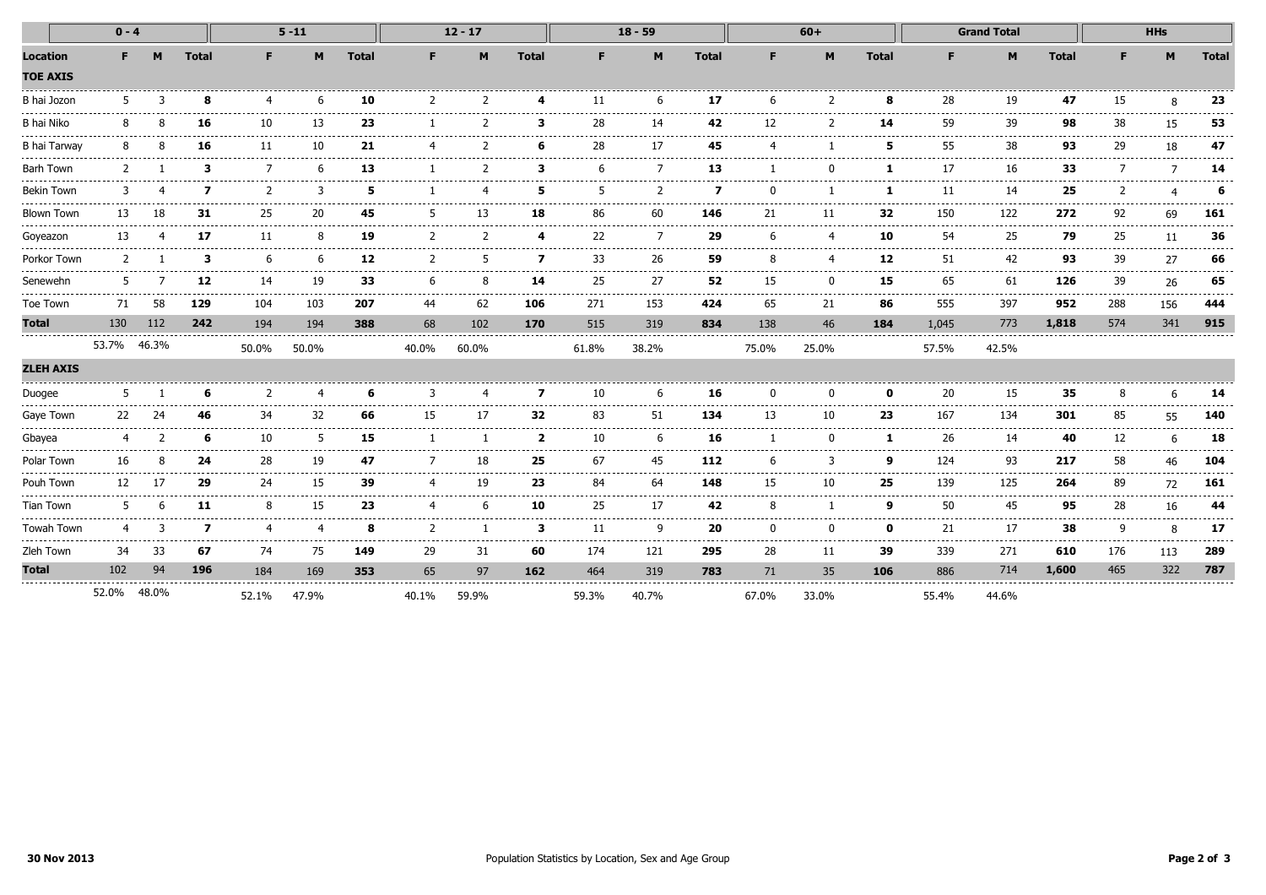| $0 - 4$                             |                                  |               |              | $5 - 11$           |                        |                 | $12 - 17$                |               |                         | $18 - 59$   |                                                                                                                                                                                                                                                                                                                                                                                                                                                                                  |              |          | $60+$  |              |              | <b>Grand Total</b> |              | <b>HHs</b>        |                 |                |
|-------------------------------------|----------------------------------|---------------|--------------|--------------------|------------------------|-----------------|--------------------------|---------------|-------------------------|-------------|----------------------------------------------------------------------------------------------------------------------------------------------------------------------------------------------------------------------------------------------------------------------------------------------------------------------------------------------------------------------------------------------------------------------------------------------------------------------------------|--------------|----------|--------|--------------|--------------|--------------------|--------------|-------------------|-----------------|----------------|
| <b>Location</b><br><b>TOE AXIS</b>  | F.                               | M             | <b>Total</b> | F.                 | M                      | <b>Total</b>    | F.                       | M             | <b>Total</b>            | F.          | M                                                                                                                                                                                                                                                                                                                                                                                                                                                                                | <b>Total</b> | F        | M      | <b>Total</b> | F            | M                  | <b>Total</b> | F                 | M               | <b>Total</b>   |
| B hai Jozon                         | 5                                |               | 8            |                    | 6                      | 10              | っ                        |               |                         | 11          | 6                                                                                                                                                                                                                                                                                                                                                                                                                                                                                | 17           | 6        |        | 8            | 28           | 19                 | 47           | 15                |                 | 23             |
| B hai Niko                          | 8                                |               | 16           | 10                 | 13                     | 23              |                          |               | з.                      | 28          | 14                                                                                                                                                                                                                                                                                                                                                                                                                                                                               | 42           | 12       |        | 14           | 59           | 39                 | 98           | 38                | 15              | 53             |
| B hai Tarway                        | 8                                |               | 16           | 11                 | 10                     | 21              |                          | $\mathcal{P}$ | 6                       | 28          | 17                                                                                                                                                                                                                                                                                                                                                                                                                                                                               | 45           |          |        | 5            | 55           | 38                 | 93           | 29                | 18              | 47             |
| Barh Town                           |                                  |               | 3            |                    | 6                      | .<br>13         |                          |               | З                       |             |                                                                                                                                                                                                                                                                                                                                                                                                                                                                                  | 13           |          |        | 1            | 17           | 16                 | 33           |                   | $\overline{7}$  | 14<br>-------  |
| <b>Bekin Town</b>                   |                                  |               | 7            |                    | 3                      | 5               |                          |               | Б                       |             |                                                                                                                                                                                                                                                                                                                                                                                                                                                                                  | 7            |          |        | 1            | 11           | 14                 | 25           |                   |                 | 6              |
| <b>Blown Town</b>                   | 13                               | 18            | 31           | 25                 | 20                     | 45              |                          | 13            | 18                      | 86          | 60                                                                                                                                                                                                                                                                                                                                                                                                                                                                               | 146          | 21       | 11     | 32           | 150          | 122                | 272          | 92                | 69              | 161<br>------  |
| Goyeazon<br>.                       | 13                               | ------------- | 17           | 11                 | 8                      | 19<br>------    | $\overline{\phantom{a}}$ |               | 4                       | 22          | 7<br>-------                                                                                                                                                                                                                                                                                                                                                                                                                                                                     | 29           | 6        |        | 10<br>.      | 54<br>.      | 25<br>--------     | 79<br>.      | 25                | 11<br>.         | 36<br>.        |
| Porkor Town                         | $\mathcal{P}$<br>--------------- |               | 3<br>.       | .<br>6<br>-------- | ------<br>6<br>------  | 12<br>$- - - -$ | $\mathcal{P}$<br>.       |               | --------<br>7<br>------ | 33<br>----- | 26<br>$\frac{1}{2} \left( \frac{1}{2} \right) \left( \frac{1}{2} \right) \left( \frac{1}{2} \right) \left( \frac{1}{2} \right) \left( \frac{1}{2} \right) \left( \frac{1}{2} \right) \left( \frac{1}{2} \right) \left( \frac{1}{2} \right) \left( \frac{1}{2} \right) \left( \frac{1}{2} \right) \left( \frac{1}{2} \right) \left( \frac{1}{2} \right) \left( \frac{1}{2} \right) \left( \frac{1}{2} \right) \left( \frac{1}{2} \right) \left( \frac{1}{2} \right) \left( \frac$ | 59<br>.      | 8<br>.   | 4<br>. | 12<br>------ | 51<br>------ | 42<br>-----------  | 93<br>.      | 39<br>------      | 27<br>--------  | 66<br>-------  |
| Senewehn                            | 5                                |               | 12           | 14                 | 19                     | 33              | 6                        | 8             | 14                      | 25          | 27                                                                                                                                                                                                                                                                                                                                                                                                                                                                               | 52           | 15       | U      | 15           | 65           | 61                 | 126          | 39                | 26              | 65             |
| Toe Town                            | 71                               | 58            | 129          | 104                | 103                    | 207             | 44                       | 62            | 106                     | 271         | 153                                                                                                                                                                                                                                                                                                                                                                                                                                                                              | 424          | 65       | 21     | 86           | 555          | 397                | 952          | 288               | 156             | 444            |
| <b>Total</b>                        | 130                              | 112           | 242          | 194                | 194                    | 388             | 68                       | 102           | 170                     | 515         | 319                                                                                                                                                                                                                                                                                                                                                                                                                                                                              | 834          | 138      | 46     | 184          | 1,045        | 773                | 1,818        | 574               | 341             | 915            |
|                                     | 53.7% 46.3%                      |               |              | 50.0%              | 50.0%                  |                 | 40.0%                    | 60.0%         |                         | 61.8%       | 38.2%                                                                                                                                                                                                                                                                                                                                                                                                                                                                            |              | 75.0%    | 25.0%  |              | 57.5%        | 42.5%              |              |                   |                 |                |
| <b>ZLEH AXIS</b><br>_______________ |                                  |               |              |                    |                        |                 |                          |               |                         |             |                                                                                                                                                                                                                                                                                                                                                                                                                                                                                  |              |          |        |              |              |                    |              |                   |                 |                |
| Duogee                              | 5                                |               | 6            |                    | 4                      | 6               | ঽ                        |               | 7                       | 10          | 6                                                                                                                                                                                                                                                                                                                                                                                                                                                                                | 16           | U        |        | n            | 20           | 15<br>.            | 35           |                   |                 | 14<br>.        |
| Gaye Town                           | 22                               | 24            | 46           | 34                 | 32                     | 66              | 15                       | 17            | 32                      | 83          | 51                                                                                                                                                                                                                                                                                                                                                                                                                                                                               | 134          | 13       | 10     | 23           | 167          | 134                | 301          | 85                | 55              | 140            |
| Gbayea                              |                                  |               | 6            | 10<br>------       | 5                      | 15              |                          |               | $\overline{2}$          | 10          | 6<br>-----                                                                                                                                                                                                                                                                                                                                                                                                                                                                       | 16           |          |        | 1            | 26<br>------ | 14<br>.            | 40<br>------ | 12                | ----            | 18<br>-------- |
| Polar Town                          | 16                               |               | 24           | 28<br>------       | 19<br>.                | 47<br>$- - - -$ |                          | 18            | 25                      | 67<br>.     | 45<br>$\frac{1}{2} \frac{1}{2} \frac{1}{2} \frac{1}{2} \frac{1}{2} \frac{1}{2} \frac{1}{2} \frac{1}{2} \frac{1}{2} \frac{1}{2} \frac{1}{2} \frac{1}{2} \frac{1}{2} \frac{1}{2} \frac{1}{2} \frac{1}{2} \frac{1}{2} \frac{1}{2} \frac{1}{2} \frac{1}{2} \frac{1}{2} \frac{1}{2} \frac{1}{2} \frac{1}{2} \frac{1}{2} \frac{1}{2} \frac{1}{2} \frac{1}{2} \frac{1}{2} \frac{1}{2} \frac{1}{2} \frac{$                                                                               | 112          | 6<br>.   | 3      | q<br>.       | 124          | 93<br>-----------  | 217          | 58<br>----------- | 46<br>$- - - -$ | 104<br>.       |
| Pouh Town                           | 12                               | 17            | 29           | 24                 | 15                     | 39              |                          | 19            | 23                      | 84          | 64                                                                                                                                                                                                                                                                                                                                                                                                                                                                               | 148          | 15       | 10     | 25           | 139          | 125                | 264          | 89                | 72              | 161            |
| <b>Tian Town</b>                    | 5                                |               | 11           | 8                  | 15                     | 23              |                          | 6             | 10                      | 25          | 17                                                                                                                                                                                                                                                                                                                                                                                                                                                                               | 42           | 8        |        | 9            | 50           | 45                 | 95           | 28                | 16              | 44<br>.        |
| Towah Town                          | 4                                |               | 7            | 4<br>----          | $\overline{a}$<br>---- | 8               | 2<br>-----               |               | 3                       | 11          | q<br>-----                                                                                                                                                                                                                                                                                                                                                                                                                                                                       | 20           | $\Omega$ | 0      | 0            | 21           | 17                 | 38<br>.      | 9                 | 8<br>.          | 17             |
| Zleh Town                           | 34                               | 33            | 67           | 74                 | 75                     | 149             | 29                       | 31            | 60                      | 174         | 121                                                                                                                                                                                                                                                                                                                                                                                                                                                                              | 295          | 28       | 11     | 39           | 339          | 271                | 610          | 176               | 113             | 289            |
| <b>Total</b>                        | 102                              | 94            | 196          | 184                | 169                    | 353             | 65                       | 97            | 162                     | 464         | 319                                                                                                                                                                                                                                                                                                                                                                                                                                                                              | 783          | 71       | 35     | 106          | 886          | 714                | 1,600        | 465               | 322             | 787            |
|                                     | 52.0%                            | 48.0%         |              | 52.1%              | 47.9%                  |                 | 40.1%                    | 59.9%         |                         | 59.3%       | 40.7%                                                                                                                                                                                                                                                                                                                                                                                                                                                                            |              | 67.0%    | 33.0%  |              | 55.4%        | 44.6%              |              |                   |                 |                |